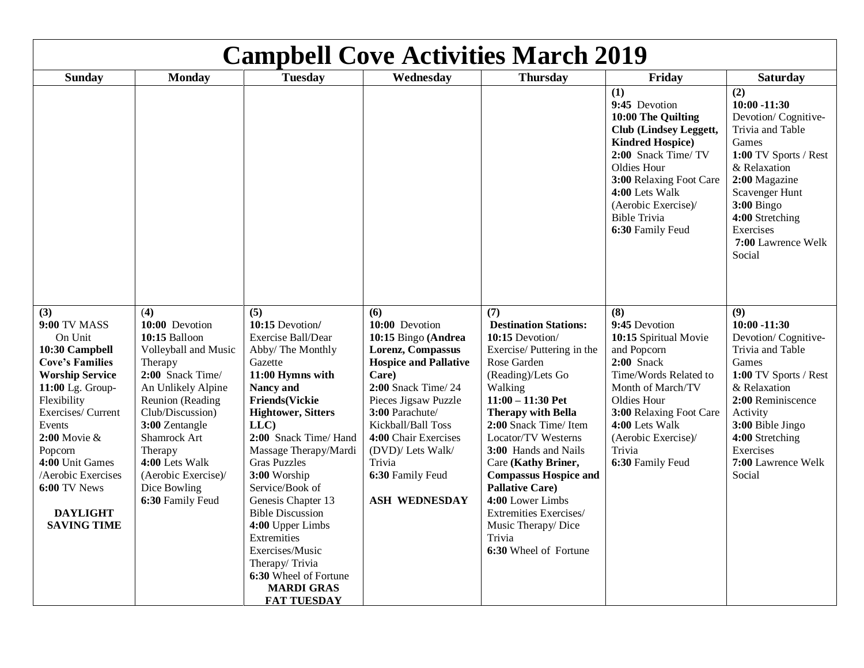| <b>Campbell Cove Activities March 2019</b>                                                                                                                                                                                                                                                          |                                                                                                                                                                                                                                                                                       |                                                                                                                                                                                                                                                                                                                                                                                                                                                                                     |                                                                                                                                                                                                                                                                                                             |                                                                                                                                                                                                                                                                                                                                                                                                                                                                     |                                                                                                                                                                                                                                                              |                                                                                                                                                                                                                                             |
|-----------------------------------------------------------------------------------------------------------------------------------------------------------------------------------------------------------------------------------------------------------------------------------------------------|---------------------------------------------------------------------------------------------------------------------------------------------------------------------------------------------------------------------------------------------------------------------------------------|-------------------------------------------------------------------------------------------------------------------------------------------------------------------------------------------------------------------------------------------------------------------------------------------------------------------------------------------------------------------------------------------------------------------------------------------------------------------------------------|-------------------------------------------------------------------------------------------------------------------------------------------------------------------------------------------------------------------------------------------------------------------------------------------------------------|---------------------------------------------------------------------------------------------------------------------------------------------------------------------------------------------------------------------------------------------------------------------------------------------------------------------------------------------------------------------------------------------------------------------------------------------------------------------|--------------------------------------------------------------------------------------------------------------------------------------------------------------------------------------------------------------------------------------------------------------|---------------------------------------------------------------------------------------------------------------------------------------------------------------------------------------------------------------------------------------------|
| <b>Sunday</b>                                                                                                                                                                                                                                                                                       | <b>Monday</b>                                                                                                                                                                                                                                                                         | <b>Tuesday</b>                                                                                                                                                                                                                                                                                                                                                                                                                                                                      | Wednesday                                                                                                                                                                                                                                                                                                   | <b>Thursday</b>                                                                                                                                                                                                                                                                                                                                                                                                                                                     | Friday                                                                                                                                                                                                                                                       | <b>Saturday</b>                                                                                                                                                                                                                             |
|                                                                                                                                                                                                                                                                                                     |                                                                                                                                                                                                                                                                                       |                                                                                                                                                                                                                                                                                                                                                                                                                                                                                     |                                                                                                                                                                                                                                                                                                             |                                                                                                                                                                                                                                                                                                                                                                                                                                                                     | (1)<br>9:45 Devotion<br>10:00 The Quilting<br><b>Club</b> (Lindsey Leggett,<br><b>Kindred Hospice</b> )<br>2:00 Snack Time/ TV<br>Oldies Hour<br>3:00 Relaxing Foot Care<br>4:00 Lets Walk<br>(Aerobic Exercise)/<br><b>Bible Trivia</b><br>6:30 Family Feud | (2)<br>$10:00 - 11:30$<br>Devotion/Cognitive-<br>Trivia and Table<br>Games<br>1:00 TV Sports / Rest<br>& Relaxation<br>2:00 Magazine<br>Scavenger Hunt<br><b>3:00 Bingo</b><br>4:00 Stretching<br>Exercises<br>7:00 Lawrence Welk<br>Social |
| (3)<br>9:00 TV MASS<br>On Unit<br>10:30 Campbell<br><b>Cove's Families</b><br><b>Worship Service</b><br>11:00 Lg. Group-<br>Flexibility<br>Exercises/ Current<br>Events<br>2:00 Movie &<br>Popcorn<br>4:00 Unit Games<br>Aerobic Exercises<br>6:00 TV News<br><b>DAYLIGHT</b><br><b>SAVING TIME</b> | (4)<br>10:00 Devotion<br>10:15 Balloon<br>Volleyball and Music<br>Therapy<br>2:00 Snack Time/<br>An Unlikely Alpine<br>Reunion (Reading<br>Club/Discussion)<br>3:00 Zentangle<br>Shamrock Art<br>Therapy<br>4:00 Lets Walk<br>(Aerobic Exercise)/<br>Dice Bowling<br>6:30 Family Feud | (5)<br>10:15 Devotion/<br>Exercise Ball/Dear<br>Abby/ The Monthly<br>Gazette<br>11:00 Hymns with<br>Nancy and<br><b>Friends(Vickie</b><br><b>Hightower, Sitters</b><br>LLC<br>2:00 Snack Time/ Hand<br>Massage Therapy/Mardi<br><b>Gras Puzzles</b><br>3:00 Worship<br>Service/Book of<br>Genesis Chapter 13<br><b>Bible Discussion</b><br>4:00 Upper Limbs<br>Extremities<br>Exercises/Music<br>Therapy/Trivia<br>6:30 Wheel of Fortune<br><b>MARDI GRAS</b><br><b>FAT TUESDAY</b> | (6)<br>10:00 Devotion<br>10:15 Bingo (Andrea<br><b>Lorenz, Compassus</b><br><b>Hospice and Pallative</b><br>Care)<br>2:00 Snack Time/24<br>Pieces Jigsaw Puzzle<br>3:00 Parachute/<br>Kickball/Ball Toss<br>4:00 Chair Exercises<br>(DVD)/ Lets Walk/<br>Trivia<br>6:30 Family Feud<br><b>ASH WEDNESDAY</b> | (7)<br><b>Destination Stations:</b><br>10:15 Devotion/<br>Exercise/Puttering in the<br>Rose Garden<br>(Reading)/Lets Go<br>Walking<br>$11:00 - 11:30$ Pet<br><b>Therapy with Bella</b><br>2:00 Snack Time/Item<br><b>Locator/TV Westerns</b><br>3:00 Hands and Nails<br>Care (Kathy Briner,<br><b>Compassus Hospice and</b><br><b>Pallative Care)</b><br>4:00 Lower Limbs<br><b>Extremities Exercises/</b><br>Music Therapy/Dice<br>Trivia<br>6:30 Wheel of Fortune | (8)<br>9:45 Devotion<br>10:15 Spiritual Movie<br>and Popcorn<br>$2:00$ Snack<br>Time/Words Related to<br>Month of March/TV<br>Oldies Hour<br>3:00 Relaxing Foot Care<br>4:00 Lets Walk<br>(Aerobic Exercise)/<br>Trivia<br>6:30 Family Feud                  | (9)<br>$10:00 - 11:30$<br>Devotion/Cognitive-<br>Trivia and Table<br>Games<br>1:00 TV Sports / Rest<br>& Relaxation<br>2:00 Reminiscence<br>Activity<br>3:00 Bible Jingo<br>4:00 Stretching<br>Exercises<br>7:00 Lawrence Welk<br>Social    |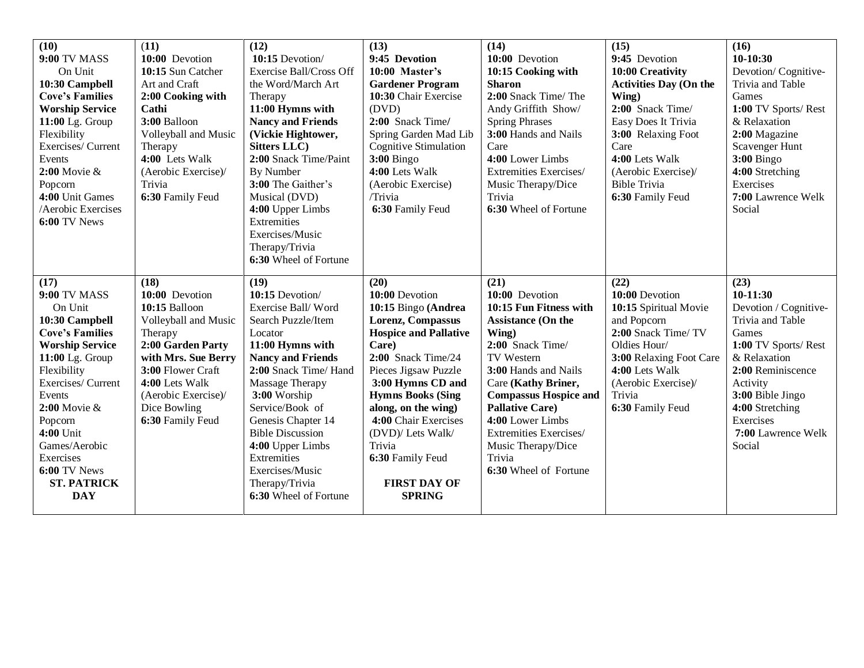| (10)                   | (11)                 | (12)                                          | (13)                                      | (14)                                       | (15)                          | (16)                            |
|------------------------|----------------------|-----------------------------------------------|-------------------------------------------|--------------------------------------------|-------------------------------|---------------------------------|
| <b>9:00 TV MASS</b>    | 10:00 Devotion       | 10:15 Devotion/                               | 9:45 Devotion                             | 10:00 Devotion                             | 9:45 Devotion                 | $10-10:30$                      |
| On Unit                | 10:15 Sun Catcher    | <b>Exercise Ball/Cross Off</b>                | 10:00 Master's                            | 10:15 Cooking with                         | 10:00 Creativity              | Devotion/Cognitive-             |
| 10:30 Campbell         | Art and Craft        | the Word/March Art                            | <b>Gardener Program</b>                   | <b>Sharon</b>                              | <b>Activities Day (On the</b> | Trivia and Table                |
| <b>Cove's Families</b> | 2:00 Cooking with    | Therapy                                       | 10:30 Chair Exercise                      | 2:00 Snack Time/ The                       | Wing)                         | Games                           |
| <b>Worship Service</b> | Cathi                | 11:00 Hymns with                              | (DVD)                                     | Andy Griffith Show/                        | 2:00 Snack Time/              | 1:00 TV Sports/Rest             |
| 11:00 Lg. Group        | 3:00 Balloon         | <b>Nancy and Friends</b>                      | 2:00 Snack Time/                          | <b>Spring Phrases</b>                      | Easy Does It Trivia           | & Relaxation                    |
| Flexibility            | Volleyball and Music | (Vickie Hightower,                            | Spring Garden Mad Lib                     | 3:00 Hands and Nails                       | 3:00 Relaxing Foot            | 2:00 Magazine                   |
| Exercises/ Current     | Therapy              | <b>Sitters LLC</b> )                          | <b>Cognitive Stimulation</b>              | Care                                       | Care                          | Scavenger Hunt                  |
| Events                 | 4:00 Lets Walk       | 2:00 Snack Time/Paint                         | $3:00$ Bingo                              | 4:00 Lower Limbs                           | 4:00 Lets Walk                | <b>3:00 Bingo</b>               |
| 2:00 Movie &           | (Aerobic Exercise)/  | <b>By Number</b>                              | 4:00 Lets Walk                            | Extremities Exercises/                     | (Aerobic Exercise)/           | 4:00 Stretching                 |
| Popcorn                | Trivia               | 3:00 The Gaither's                            | (Aerobic Exercise)                        | Music Therapy/Dice                         | <b>Bible Trivia</b>           | Exercises                       |
| 4:00 Unit Games        | 6:30 Family Feud     | Musical (DVD)                                 | /Trivia                                   | Trivia                                     | 6:30 Family Feud              | 7:00 Lawrence Welk              |
| /Aerobic Exercises     |                      | 4:00 Upper Limbs                              | 6:30 Family Feud                          | 6:30 Wheel of Fortune                      |                               | Social                          |
| 6:00 TV News           |                      | Extremities                                   |                                           |                                            |                               |                                 |
|                        |                      | Exercises/Music                               |                                           |                                            |                               |                                 |
|                        |                      | Therapy/Trivia                                |                                           |                                            |                               |                                 |
|                        |                      | 6:30 Wheel of Fortune                         |                                           |                                            |                               |                                 |
|                        |                      |                                               |                                           |                                            |                               |                                 |
|                        |                      |                                               |                                           |                                            |                               |                                 |
| (17)                   | (18)                 | (19)                                          | (20)                                      | (21)                                       | (22)                          | (23)                            |
| <b>9:00 TV MASS</b>    | 10:00 Devotion       | 10:15 Devotion/                               | 10:00 Devotion                            | 10:00 Devotion                             | 10:00 Devotion                | $10-11:30$                      |
| On Unit                | 10:15 Balloon        | Exercise Ball/Word                            | 10:15 Bingo (Andrea                       | 10:15 Fun Fitness with                     | 10:15 Spiritual Movie         | Devotion / Cognitive-           |
| 10:30 Campbell         | Volleyball and Music | Search Puzzle/Item                            | Lorenz, Compassus                         | Assistance (On the                         | and Popcorn                   | Trivia and Table                |
| <b>Cove's Families</b> | Therapy              | Locator                                       | <b>Hospice and Pallative</b>              | Wing)                                      | 2:00 Snack Time/TV            | Games                           |
| <b>Worship Service</b> | 2:00 Garden Party    | 11:00 Hymns with                              | Care)                                     | 2:00 Snack Time/                           | Oldies Hour/                  | 1:00 TV Sports/Rest             |
| 11:00 Lg. Group        | with Mrs. Sue Berry  | <b>Nancy and Friends</b>                      | $2:00$ Snack Time/24                      | TV Western                                 | 3:00 Relaxing Foot Care       | & Relaxation                    |
| Flexibility            | 3:00 Flower Craft    | 2:00 Snack Time/ Hand                         | Pieces Jigsaw Puzzle                      | 3:00 Hands and Nails                       | 4:00 Lets Walk                | 2:00 Reminiscence               |
| Exercises/ Current     | 4:00 Lets Walk       | <b>Massage Therapy</b>                        | 3:00 Hymns CD and                         | Care (Kathy Briner,                        | (Aerobic Exercise)/           | Activity                        |
| Events                 | (Aerobic Exercise)/  | 3:00 Worship                                  | <b>Hymns Books (Sing</b>                  | <b>Compassus Hospice and</b>               | Trivia                        | 3:00 Bible Jingo                |
| 2:00 Movie &           | Dice Bowling         | Service/Book of                               | along, on the wing)                       | <b>Pallative Care)</b>                     | 6:30 Family Feud              | 4:00 Stretching                 |
| Popcorn<br>4:00 Unit   | 6:30 Family Feud     | Genesis Chapter 14<br><b>Bible Discussion</b> | 4:00 Chair Exercises<br>(DVD)/ Lets Walk/ | 4:00 Lower Limbs<br>Extremities Exercises/ |                               | Exercises<br>7:00 Lawrence Welk |
| Games/Aerobic          |                      | 4:00 Upper Limbs                              | Trivia                                    |                                            |                               | Social                          |
| Exercises              |                      | Extremities                                   | 6:30 Family Feud                          | Music Therapy/Dice<br>Trivia               |                               |                                 |
| 6:00 TV News           |                      | Exercises/Music                               |                                           | 6:30 Wheel of Fortune                      |                               |                                 |
| <b>ST. PATRICK</b>     |                      | Therapy/Trivia                                | <b>FIRST DAY OF</b>                       |                                            |                               |                                 |
| <b>DAY</b>             |                      | 6:30 Wheel of Fortune                         | <b>SPRING</b>                             |                                            |                               |                                 |